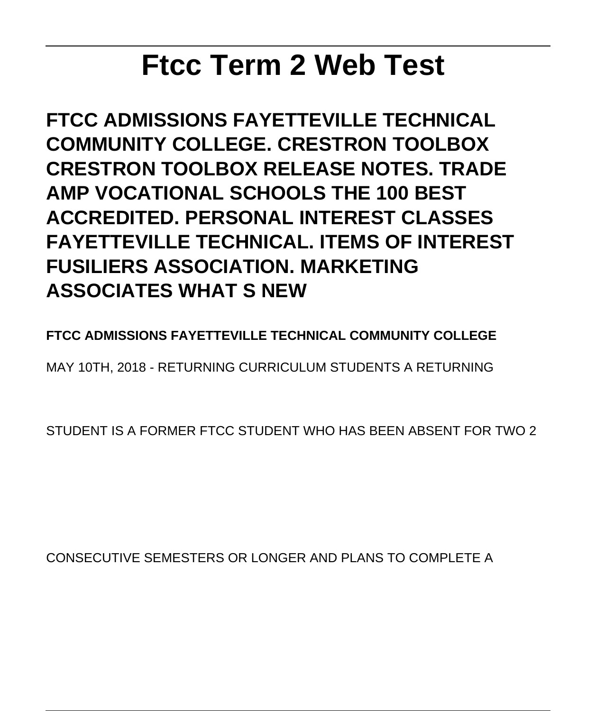# **Ftcc Term 2 Web Test**

**FTCC ADMISSIONS FAYETTEVILLE TECHNICAL COMMUNITY COLLEGE. CRESTRON TOOLBOX CRESTRON TOOLBOX RELEASE NOTES. TRADE AMP VOCATIONAL SCHOOLS THE 100 BEST ACCREDITED. PERSONAL INTEREST CLASSES FAYETTEVILLE TECHNICAL. ITEMS OF INTEREST FUSILIERS ASSOCIATION. MARKETING ASSOCIATES WHAT S NEW**

**FTCC ADMISSIONS FAYETTEVILLE TECHNICAL COMMUNITY COLLEGE**

MAY 10TH, 2018 - RETURNING CURRICULUM STUDENTS A RETURNING

STUDENT IS A FORMER FTCC STUDENT WHO HAS BEEN ABSENT FOR TWO 2

CONSECUTIVE SEMESTERS OR LONGER AND PLANS TO COMPLETE A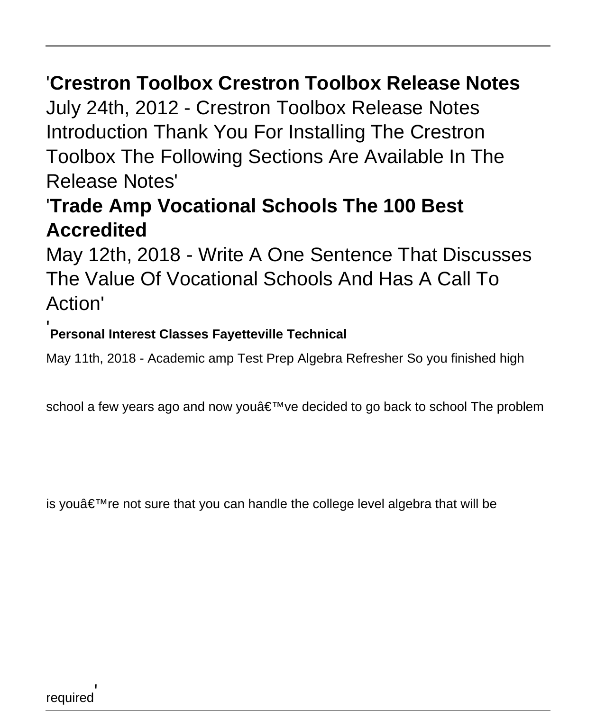## '**Crestron Toolbox Crestron Toolbox Release Notes**

July 24th, 2012 - Crestron Toolbox Release Notes Introduction Thank You For Installing The Crestron Toolbox The Following Sections Are Available In The Release Notes'

## '**Trade Amp Vocational Schools The 100 Best Accredited**

May 12th, 2018 - Write A One Sentence That Discusses The Value Of Vocational Schools And Has A Call To Action'

#### '**Personal Interest Classes Fayetteville Technical**

May 11th, 2018 - Academic amp Test Prep Algebra Refresher So you finished high

school a few years ago and now you've decided to go back to school The problem

is you're not sure that you can handle the college level algebra that will be